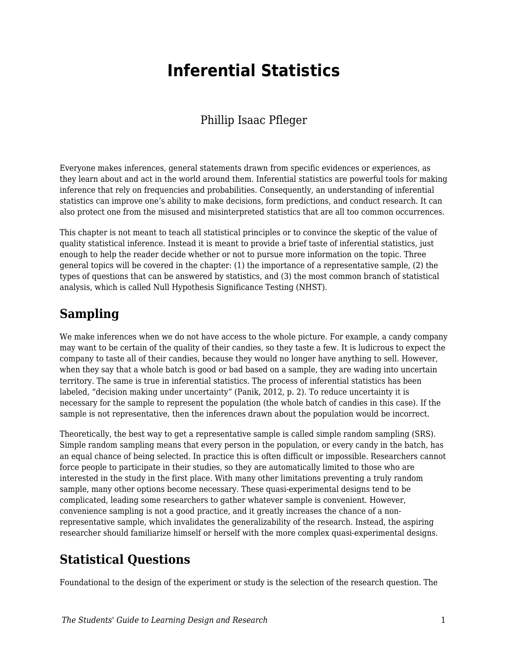# **Inferential Statistics**

#### Phillip Isaac Pfleger

Everyone makes inferences, general statements drawn from specific evidences or experiences, as they learn about and act in the world around them. Inferential statistics are powerful tools for making inference that rely on frequencies and probabilities. Consequently, an understanding of inferential statistics can improve one's ability to make decisions, form predictions, and conduct research. It can also protect one from the misused and misinterpreted statistics that are all too common occurrences.

This chapter is not meant to teach all statistical principles or to convince the skeptic of the value of quality statistical inference. Instead it is meant to provide a brief taste of inferential statistics, just enough to help the reader decide whether or not to pursue more information on the topic. Three general topics will be covered in the chapter: (1) the importance of a representative sample, (2) the types of questions that can be answered by statistics, and (3) the most common branch of statistical analysis, which is called Null Hypothesis Significance Testing (NHST).

## **Sampling**

We make inferences when we do not have access to the whole picture. For example, a candy company may want to be certain of the quality of their candies, so they taste a few. It is ludicrous to expect the company to taste all of their candies, because they would no longer have anything to sell. However, when they say that a whole batch is good or bad based on a sample, they are wading into uncertain territory. The same is true in inferential statistics. The process of inferential statistics has been labeled, "decision making under uncertainty" (Panik, 2012, p. 2). To reduce uncertainty it is necessary for the sample to represent the population (the whole batch of candies in this case). If the sample is not representative, then the inferences drawn about the population would be incorrect.

Theoretically, the best way to get a representative sample is called simple random sampling (SRS). Simple random sampling means that every person in the population, or every candy in the batch, has an equal chance of being selected. In practice this is often difficult or impossible. Researchers cannot force people to participate in their studies, so they are automatically limited to those who are interested in the study in the first place. With many other limitations preventing a truly random sample, many other options become necessary. These quasi-experimental designs tend to be complicated, leading some researchers to gather whatever sample is convenient. However, convenience sampling is not a good practice, and it greatly increases the chance of a nonrepresentative sample, which invalidates the generalizability of the research. Instead, the aspiring researcher should familiarize himself or herself with the more complex quasi-experimental designs.

# **Statistical Questions**

Foundational to the design of the experiment or study is the selection of the research question. The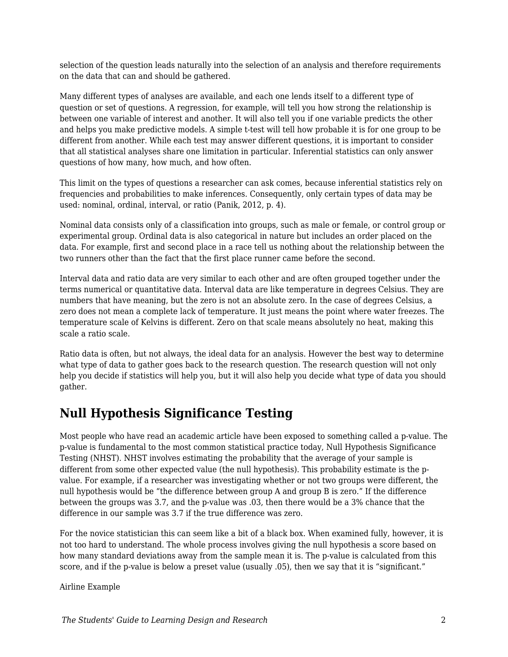selection of the question leads naturally into the selection of an analysis and therefore requirements on the data that can and should be gathered.

Many different types of analyses are available, and each one lends itself to a different type of question or set of questions. A regression, for example, will tell you how strong the relationship is between one variable of interest and another. It will also tell you if one variable predicts the other and helps you make predictive models. A simple t-test will tell how probable it is for one group to be different from another. While each test may answer different questions, it is important to consider that all statistical analyses share one limitation in particular. Inferential statistics can only answer questions of how many, how much, and how often.

This limit on the types of questions a researcher can ask comes, because inferential statistics rely on frequencies and probabilities to make inferences. Consequently, only certain types of data may be used: nominal, ordinal, interval, or ratio (Panik, 2012, p. 4).

Nominal data consists only of a classification into groups, such as male or female, or control group or experimental group. Ordinal data is also categorical in nature but includes an order placed on the data. For example, first and second place in a race tell us nothing about the relationship between the two runners other than the fact that the first place runner came before the second.

Interval data and ratio data are very similar to each other and are often grouped together under the terms numerical or quantitative data. Interval data are like temperature in degrees Celsius. They are numbers that have meaning, but the zero is not an absolute zero. In the case of degrees Celsius, a zero does not mean a complete lack of temperature. It just means the point where water freezes. The temperature scale of Kelvins is different. Zero on that scale means absolutely no heat, making this scale a ratio scale.

Ratio data is often, but not always, the ideal data for an analysis. However the best way to determine what type of data to gather goes back to the research question. The research question will not only help you decide if statistics will help you, but it will also help you decide what type of data you should gather.

### **Null Hypothesis Significance Testing**

Most people who have read an academic article have been exposed to something called a p-value. The p-value is fundamental to the most common statistical practice today, Null Hypothesis Significance Testing (NHST). NHST involves estimating the probability that the average of your sample is different from some other expected value (the null hypothesis). This probability estimate is the pvalue. For example, if a researcher was investigating whether or not two groups were different, the null hypothesis would be "the difference between group A and group B is zero." If the difference between the groups was 3.7, and the p-value was .03, then there would be a 3% chance that the difference in our sample was 3.7 if the true difference was zero.

For the novice statistician this can seem like a bit of a black box. When examined fully, however, it is not too hard to understand. The whole process involves giving the null hypothesis a score based on how many standard deviations away from the sample mean it is. The p-value is calculated from this score, and if the p-value is below a preset value (usually .05), then we say that it is "significant."

Airline Example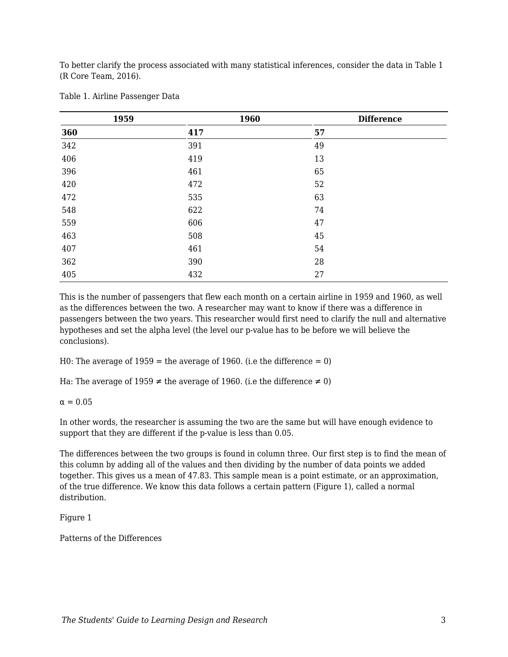To better clarify the process associated with many statistical inferences, consider the data in Table 1 (R Core Team, 2016).

| 1959 | 1960 | <b>Difference</b> |
|------|------|-------------------|
| 360  | 417  | 57                |
| 342  | 391  | 49                |
| 406  | 419  | 13                |
| 396  | 461  | 65                |
| 420  | 472  | 52                |
| 472  | 535  | 63                |
| 548  | 622  | 74                |
| 559  | 606  | 47                |
| 463  | 508  | 45                |
| 407  | 461  | 54                |
| 362  | 390  | 28                |
| 405  | 432  | 27                |

Table 1. Airline Passenger Data

This is the number of passengers that flew each month on a certain airline in 1959 and 1960, as well as the differences between the two. A researcher may want to know if there was a difference in passengers between the two years. This researcher would first need to clarify the null and alternative hypotheses and set the alpha level (the level our p-value has to be before we will believe the conclusions).

H0: The average of  $1959 =$  the average of 1960. (i.e the difference = 0)

Ha: The average of 1959  $\neq$  the average of 1960. (i.e the difference  $\neq$  0)

 $\alpha = 0.05$ 

In other words, the researcher is assuming the two are the same but will have enough evidence to support that they are different if the p-value is less than 0.05.

The differences between the two groups is found in column three. Our first step is to find the mean of this column by adding all of the values and then dividing by the number of data points we added together. This gives us a mean of 47.83. This sample mean is a point estimate, or an approximation, of the true difference. We know this data follows a certain pattern (Figure 1), called a normal distribution.

Figure 1

Patterns of the Differences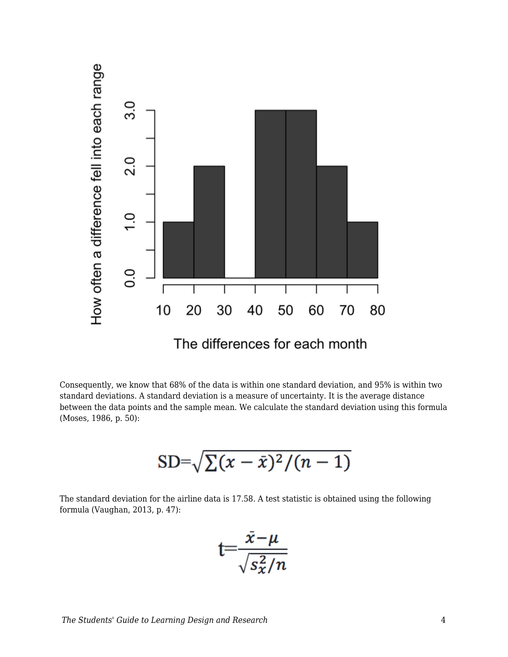

Consequently, we know that 68% of the data is within one standard deviation, and 95% is within two standard deviations. A standard deviation is a measure of uncertainty. It is the average distance between the data points and the sample mean. We calculate the standard deviation using this formula (Moses, 1986, p. 50):

$$
SD = \sqrt{\sum (x-\bar{x})^2/(n-1)}
$$

The standard deviation for the airline data is 17.58. A test statistic is obtained using the following formula (Vaughan, 2013, p. 47):

$$
t = \frac{\bar{x} - \mu}{\sqrt{s_x^2/n}}
$$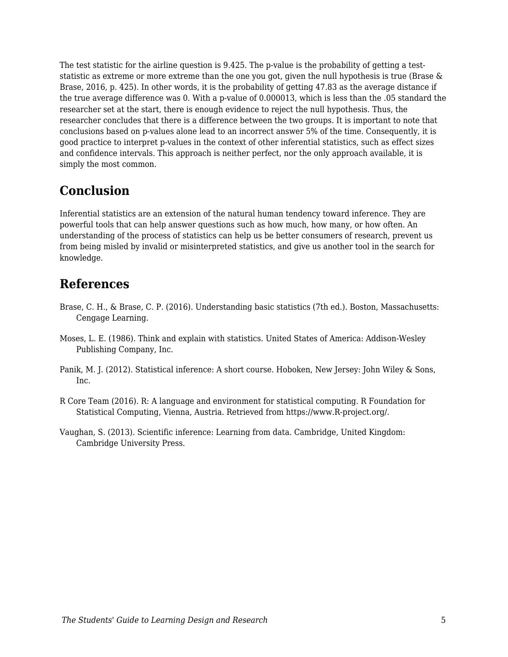The test statistic for the airline question is 9.425. The p-value is the probability of getting a teststatistic as extreme or more extreme than the one you got, given the null hypothesis is true (Brase & Brase, 2016, p. 425). In other words, it is the probability of getting 47.83 as the average distance if the true average difference was 0. With a p-value of 0.000013, which is less than the .05 standard the researcher set at the start, there is enough evidence to reject the null hypothesis. Thus, the researcher concludes that there is a difference between the two groups. It is important to note that conclusions based on p-values alone lead to an incorrect answer 5% of the time. Consequently, it is good practice to interpret p-values in the context of other inferential statistics, such as effect sizes and confidence intervals. This approach is neither perfect, nor the only approach available, it is simply the most common.

## **Conclusion**

Inferential statistics are an extension of the natural human tendency toward inference. They are powerful tools that can help answer questions such as how much, how many, or how often. An understanding of the process of statistics can help us be better consumers of research, prevent us from being misled by invalid or misinterpreted statistics, and give us another tool in the search for knowledge.

#### **References**

- Brase, C. H., & Brase, C. P. (2016). Understanding basic statistics (7th ed.). Boston, Massachusetts: Cengage Learning.
- Moses, L. E. (1986). Think and explain with statistics. United States of America: Addison-Wesley Publishing Company, Inc.
- Panik, M. J. (2012). Statistical inference: A short course. Hoboken, New Jersey: John Wiley & Sons, Inc.
- R Core Team (2016). R: A language and environment for statistical computing. R Foundation for Statistical Computing, Vienna, Austria. Retrieved from https://www.R-project.org/.
- Vaughan, S. (2013). Scientific inference: Learning from data. Cambridge, United Kingdom: Cambridge University Press.